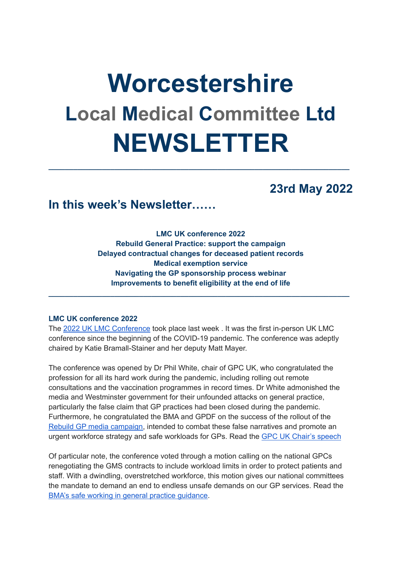# **Worcestershire Local Medical Committee Ltd NEWSLETTER**

**\_\_\_\_\_\_\_\_\_\_\_\_\_\_\_\_\_\_\_\_\_\_\_\_\_\_\_\_\_\_\_\_\_\_\_\_\_\_\_\_\_\_\_\_\_\_\_\_\_\_\_\_\_\_\_\_\_\_\_\_\_\_\_\_\_\_\_\_\_\_\_\_\_**

## **23rd May 2022**

## **In this week's Newsletter……**

**LMC UK conference 2022 Rebuild General Practice: support the campaign Delayed contractual changes for deceased patient records Medical exemption service Navigating the GP sponsorship process webinar Improvements to benefit eligibility at the end of life**

**\_\_\_\_\_\_\_\_\_\_\_\_\_\_\_\_\_\_\_\_\_\_\_\_\_\_\_\_\_\_\_\_\_\_\_\_\_\_\_\_\_\_\_\_\_\_\_\_\_\_\_\_\_\_\_\_\_\_\_\_\_\_\_\_\_\_\_\_\_\_\_\_\_**

#### **LMC UK conference 2022**

The 2022 UK LMC [Conference](https://www.bma.org.uk/what-we-do/local-medical-committees) took place last week . It was the first in-person UK LMC conference since the beginning of the COVID-19 pandemic. The conference was adeptly chaired by Katie Bramall-Stainer and her deputy Matt Mayer.

The conference was opened by Dr Phil White, chair of GPC UK, who congratulated the profession for all its hard work during the pandemic, including rolling out remote consultations and the vaccination programmes in record times. Dr White admonished the media and Westminster government for their unfounded attacks on general practice, particularly the false claim that GP practices had been closed during the pandemic. Furthermore, he congratulated the BMA and GPDF on the success of the rollout of the Rebuild GP media [campaign,](https://bma-mail.org.uk/JVX-7T392-G7LO7P-4RBR12-1/c.aspx) intended to combat these false narratives and promote an urgent workforce strategy and safe workloads for GPs. Read the GPC UK Chair's [speech](https://www.bma.org.uk/media/5637/bma-gpc-uk-chair-speech-may-2022.pdf)

Of particular note, the conference voted through a motion calling on the national GPCs renegotiating the GMS contracts to include workload limits in order to protect patients and staff. With a dwindling, overstretched workforce, this motion gives our national committees the mandate to demand an end to endless unsafe demands on our GP services. Read the BMA's safe working in general practice [guidance](https://www.bma.org.uk/advice-and-support/gp-practices/managing-workload/safe-working-in-general-practice).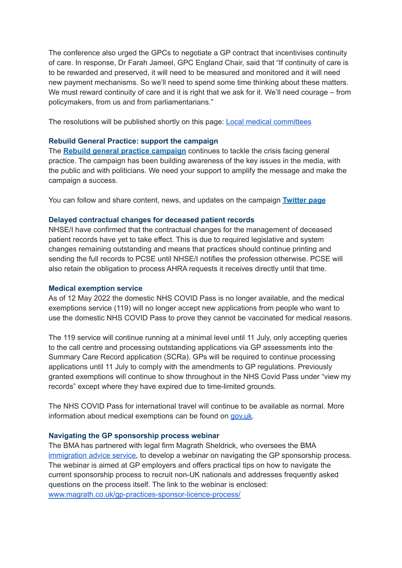The conference also urged the GPCs to negotiate a GP contract that incentivises continuity of care. In response, Dr Farah Jameel, GPC England Chair, said that "If continuity of care is to be rewarded and preserved, it will need to be measured and monitored and it will need new payment mechanisms. So we'll need to spend some time thinking about these matters. We must reward continuity of care and it is right that we ask for it. We'll need courage – from policymakers, from us and from parliamentarians."

The resolutions will be published shortly on this page: Local medical [committees](https://www.bma.org.uk/what-we-do/local-medical-committees)

#### **Rebuild General Practice: support the campaign**

The **Rebuild general practice [campaign](https://bma-mail.org.uk/JVX-7T392-G7LO7P-4RBR12-1/c.aspx)** continues to tackle the crisis facing general practice. The campaign has been building awareness of the key issues in the media, with the public and with politicians. We need your support to amplify the message and make the campaign a success.

You can follow and share content, news, and updates on the campaign **[Twitter](https://bma-mail.org.uk/JVX-7T392-G7LO7P-4RBR15-1/c.aspx) page**

#### **Delayed contractual changes for deceased patient records**

NHSE/I have confirmed that the contractual changes for the management of deceased patient records have yet to take effect. This is due to required legislative and system changes remaining outstanding and means that practices should continue printing and sending the full records to PCSE until NHSE/I notifies the profession otherwise. PCSE will also retain the obligation to process AHRA requests it receives directly until that time.

#### **Medical exemption service**

As of 12 May 2022 the domestic NHS COVID Pass is no longer available, and the medical exemptions service (119) will no longer accept new applications from people who want to use the domestic NHS COVID Pass to prove they cannot be vaccinated for medical reasons.

The 119 service will continue running at a minimal level until 11 July, only accepting queries to the call centre and processing outstanding applications via GP assessments into the Summary Care Record application (SCRa). GPs will be required to continue processing applications until 11 July to comply with the amendments to GP regulations. Previously granted exemptions will continue to show throughout in the NHS Covid Pass under "view my records" except where they have expired due to time-limited grounds.

The NHS COVID Pass for international travel will continue to be available as normal. More information about medical exemptions can be found on [gov.uk.](https://generalpracticebulletin.cmail20.com/t/d-l-fjhkjjk-jlddotjkh-k)

#### **Navigating the GP sponsorship process webinar**

The BMA has partnered with legal firm Magrath Sheldrick, who oversees the BMA [immigration](https://www.bma.org.uk/advice-and-support/international-doctors/how-the-bma-can-help-you/bma-services-for-international-doctors#heading_08232f663ce04650b4f60f91dc57c99d) advice service, to develop a webinar on navigating the GP sponsorship process. The webinar is aimed at GP employers and offers practical tips on how to navigate the current sponsorship process to recruit non-UK nationals and addresses frequently asked questions on the process itself. The link to the webinar is enclosed: [www.magrath.co.uk/gp-practices-sponsor-licence-process/](http://www.magrath.co.uk/gp-practices-sponsor-licence-process/)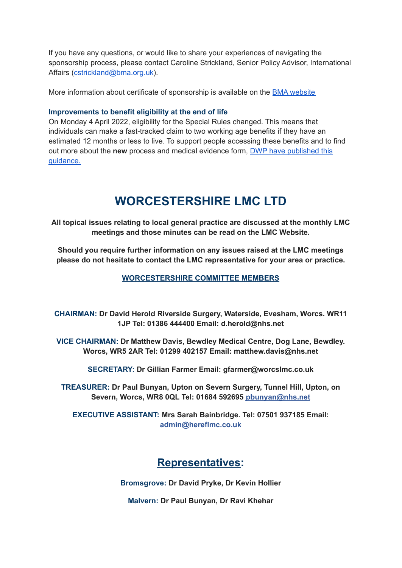If you have any questions, or would like to share your experiences of navigating the sponsorship process, please contact Caroline Strickland, Senior Policy Advisor, International Affairs (cstrickland@bma.org.uk).

More information about certificate of sponsorship is available on the BMA [website](https://www.bma.org.uk/advice-and-support/international-doctors/coming-to-work-in-the-uk/working-in-the-uk-and-your-visa/certificate-of-sponsorship)

#### **Improvements to benefit eligibility at the end of life**

On Monday 4 April 2022, eligibility for the Special Rules changed. This means that individuals can make a fast-tracked claim to two working age benefits if they have an estimated 12 months or less to live. To support people accessing these benefits and to find out more about the **new** process and medical evidence form, DWP have [published](http://www.gov.uk/dwp/special-rules) this [guidance.](http://www.gov.uk/dwp/special-rules)

## **WORCESTERSHIRE LMC LTD**

**All topical issues relating to local general practice are discussed at the monthly LMC meetings and those minutes can be read on the LMC Website.**

**Should you require further information on any issues raised at the LMC meetings please do not hesitate to contact the LMC representative for your area or practice.**

#### **WORCESTERSHIRE COMMITTEE MEMBERS**

**CHAIRMAN: Dr David Herold Riverside Surgery, Waterside, Evesham, Worcs. WR11 1JP Tel: 01386 444400 Email: d.herold@nhs.net**

**VICE CHAIRMAN: Dr Matthew Davis, Bewdley Medical Centre, Dog Lane, Bewdley. Worcs, WR5 2AR Tel: 01299 402157 Email: matthew.davis@nhs.net**

**SECRETARY: Dr Gillian Farmer Email: gfarmer@worcslmc.co.uk**

**TREASURER: Dr Paul Bunyan, Upton on Severn Surgery, Tunnel Hill, Upton, on Severn, Worcs, WR8 0QL Tel: 01684 592695 pbunyan@nhs.net**

**EXECUTIVE ASSISTANT: Mrs Sarah Bainbridge. Tel: 07501 937185 Email: admin@hereflmc.co.uk**

### **Representatives:**

**Bromsgrove: Dr David Pryke, Dr Kevin Hollier**

**Malvern: Dr Paul Bunyan, Dr Ravi Khehar**